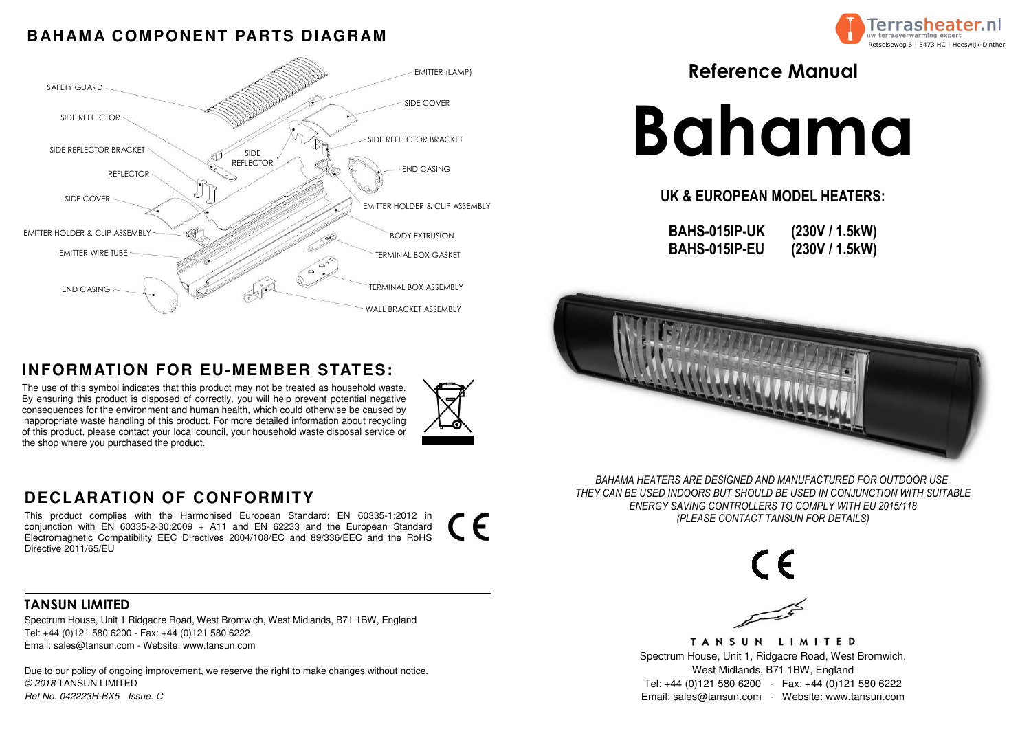### **BAHAMA COMPONENT PARTS DIAGRAM**



The use of this symbol indicates that this product may not be treated as household waste. By ensuring this product is disposed of correctly, you will help prevent potential negative consequences for the environment and human health, which could otherwise be caused by inappropriate waste handling of this product. For more detailed information about recycling of this product, please contact your local council, your household waste disposal service or the shop where you purchased the product.

# **INFORMATION FOR EU-MEMBER STATES:**

TANSUN LIMITED

TANSUN LIMITED Spectrum House, Unit 1, Ridgacre Road, West Bromwich, West Midlands, B71 1BW, England Tel: +44 (0)121 580 6200 - Fax: +44 (0)121 580 6222 Email: sales@tansun.com - Website: www.tansun.com

- 
- 

 Spectrum House, Unit 1 Ridgacre Road, West Bromwich, West Midlands, B71 1BW, England Tel: +44 (0)121 580 6200 - Fax: +44 (0)121 580 6222 Email: sales@tansun.com - Website: www.tansun.com

Due to our policy of ongoing improvement, we reserve the right to make changes without notice. © 2018 TANSUN LIMITEDRef No. 042223H-BX5 Issue. C



 $\epsilon$ 



### **DECLARATION OF CONFORMITY**

 This product complies with the Harmonised European Standard: EN 60335-1:2012 in conjunction with EN 60335-2-30:2009 + A11 and EN 62233 and the European Standard Electromagnetic Compatibility EEC Directives 2004/108/EC and 89/336/EEC and the RoHS Directive 2011/65/EU

Reference Manual

# Bahama

UK & EUROPEAN MODEL HEATERS:

BAHS-015IP-UKBAHS-015IP-EU

(230V / 1.5kW) (230V / 1.5kW)



BAHAMA HEATERS ARE DESIGNED AND MANUFACTURED FOR OUTDOOR USE. THEY CAN BE USED INDOORS BUT SHOULD BE USED IN CONJUNCTION WITH SUITABLE ENERGY SAVING CONTROLLERS TO COMPLY WITH EU 2015/118 (PLEASE CONTACT TANSUN FOR DETAILS)

 $\epsilon$ 



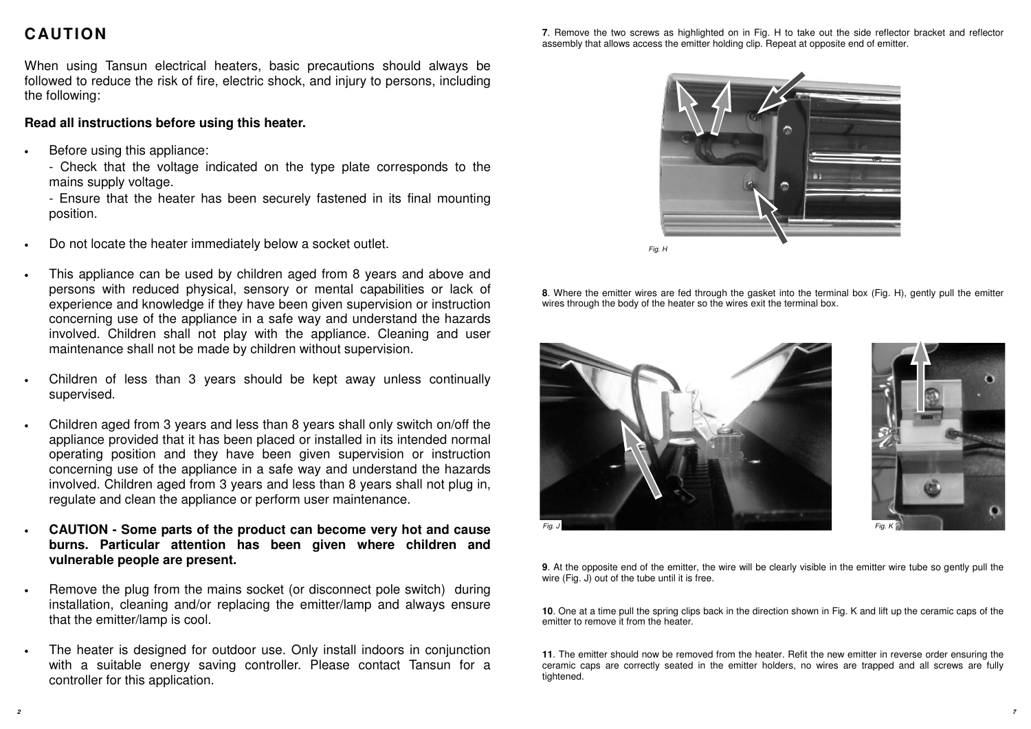### **CAUTION**

When using Tansun electrical heaters, basic precautions should always be followed to reduce the risk of fire, electric shock, and injury to persons, including the following:

### **Read all instructions before using this heater.**

•Before using this appliance:

> - Check that the voltage indicated on the type plate corresponds to the mains supply voltage.

> - Ensure that the heater has been securely fastened in its final mounting position.

- •Do not locate the heater immediately below a socket outlet.
- • This appliance can be used by children aged from 8 years and above and persons with reduced physical, sensory or mental capabilities or lack of experience and knowledge if they have been given supervision or instruction concerning use of the appliance in a safe way and understand the hazards involved. Children shall not play with the appliance. Cleaning and user maintenance shall not be made by children without supervision.
- • Children of less than 3 years should be kept away unless continuallysupervised.
- • Children aged from 3 years and less than 8 years shall only switch on/off the appliance provided that it has been placed or installed in its intended normal operating position and they have been given supervision or instruction concerning use of the appliance in a safe way and understand the hazards involved. Children aged from 3 years and less than 8 years shall not plug in, regulate and clean the appliance or perform user maintenance.
- • **CAUTION - Some parts of the product can become very hot and cause burns. Particular attention has been given where children and vulnerable people are present.**
- • Remove the plug from the mains socket (or disconnect pole switch) during installation, cleaning and/or replacing the emitter/lamp and always ensure that the emitter/lamp is cool.
- • The heater is designed for outdoor use. Only install indoors in conjunction with a suitable energy saving controller. Please contact Tansun for a controller for this application.





**8**. Where the emitter wires are fed through the gasket into the terminal box (Fig. H), gently pull the emitter wires through the body of the heater so the wires exit the terminal box.

**9**. At the opposite end of the emitter, the wire will be clearly visible in the emitter wire tube so gently pull the wire (Fig. J) out of the tube until it is free.

**10**. One at a time pull the spring clips back in the direction shown in Fig. K and lift up the ceramic caps of theemitter to remove it from the heater.

**11**. The emitter should now be removed from the heater. Refit the new emitter in reverse order ensuring the ceramic caps are correctly seated in the emitter holders, no wires are trapped and all screws are fully tightened.



Fig. H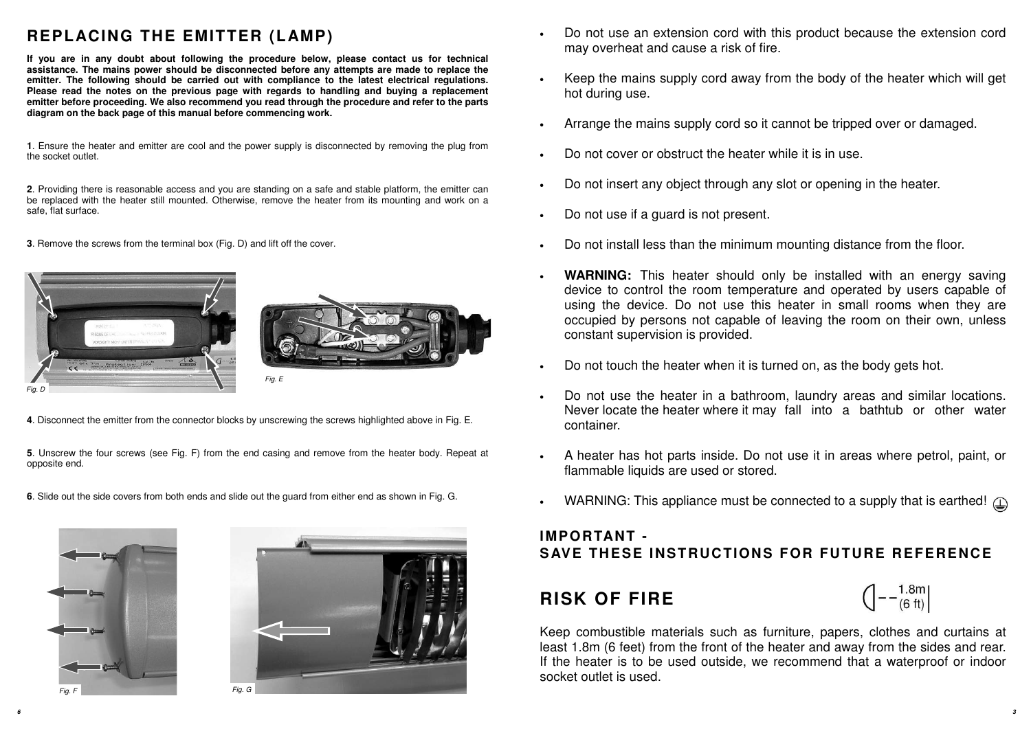**4**. Disconnect the emitter from the connector blocks by unscrewing the screws highlighted above in Fig. E.

**5**. Unscrew the four screws (see Fig. F) from the end casing and remove from the heater body. Repeat at opposite end.

**6**. Slide out the side covers from both ends and slide out the guard from either end as shown in Fig. G.

### **REPLACING THE EMITTER (LAMP)**

**If you are in any doubt about following the procedure below, please contact us for technical assistance. The mains power should be disconnected before any attempts are made to replace the emitter. The following should be carried out with compliance to the latest electrical regulations. Please read the notes on the previous page with regards to handling and buying a replacement emitter before proceeding. We also recommend you read through the procedure and refer to the parts diagram on the back page of this manual before commencing work.** 

**1**. Ensure the heater and emitter are cool and the power supply is disconnected by removing the plug from the socket outlet.

**2**. Providing there is reasonable access and you are standing on a safe and stable platform, the emitter can be replaced with the heater still mounted. Otherwise, remove the heater from its mounting and work on a safe, flat surface.

**3**. Remove the screws from the terminal box (Fig. D) and lift off the cover.

**6** 









Do not use an extension cord with this product because the extension cord

Keep the mains supply cord away from the body of the heater which will get

- •may overheat and cause a risk of fire.
- •hot during use.
- •Arrange the mains supply cord so it cannot be tripped over or damaged.
- •Do not cover or obstruct the heater while it is in use.
- •Do not insert any object through any slot or opening in the heater.
- •Do not use if a guard is not present.
- •Do not install less than the minimum mounting distance from the floor.
- •constant supervision is provided.
- •Do not touch the heater when it is turned on, as the body gets hot.
- •container.
- •flammable liquids are used or stored.
- •

 **WARNING:** This heater should only be installed with an energy saving device to control the room temperature and operated by users capable of using the device. Do not use this heater in small rooms when they are occupied by persons not capable of leaving the room on their own, unless

 Do not use the heater in a bathroom, laundry areas and similar locations. Never locate the heater where it may fall into a bathtub or other water

A heater has hot parts inside. Do not use it in areas where petrol, paint, or

WARNING: This appliance must be connected to a supply that is earthed!  $\textcircled{1}$ 

# $\left(-\frac{1.8 \text{m}}{(6 \text{ ft})}\right)$

### **IMPORTANT - S AVE THESE INSTRUCTIONS FOR FUTURE REFERENCE**

## **RISK OF FIRE**

Keep combustible materials such as furniture, papers, clothes and curtains at least 1.8m (6 feet) from the front of the heater and away from the sides and rear. If the heater is to be used outside, we recommend that a waterproof or indoor socket outlet is used.